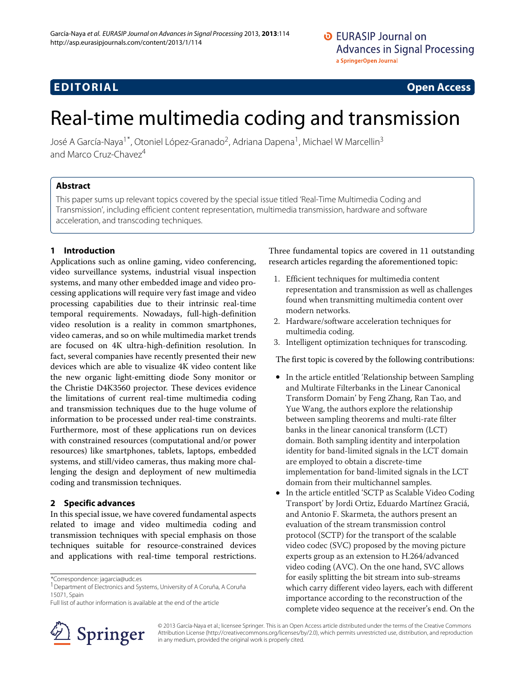## **EDITORIAL Open Access**

# Real-time multimedia coding and transmission

José A García-Naya<sup>1\*</sup>, Otoniel López-Granado<sup>2</sup>, Adriana Dapena<sup>1</sup>, Michael W Marcellin<sup>3</sup> and Marco Cruz-Chavez<sup>4</sup>

## **Abstract**

This paper sums up relevant topics covered by the special issue titled 'Real-Time Multimedia Coding and Transmission', including efficient content representation, multimedia transmission, hardware and software acceleration, and transcoding techniques.

### **1 Introduction**

Applications such as online gaming, video conferencing, video surveillance systems, industrial visual inspection systems, and many other embedded image and video processing applications will require very fast image and video processing capabilities due to their intrinsic real-time temporal requirements. Nowadays, full-high-definition video resolution is a reality in common smartphones, video cameras, and so on while multimedia market trends are focused on 4K ultra-high-definition resolution. In fact, several companies have recently presented their new devices which are able to visualize 4K video content like the new organic light-emitting diode Sony monitor or the Christie D4K3560 projector. These devices evidence the limitations of current real-time multimedia coding and transmission techniques due to the huge volume of information to be processed under real-time constraints. Furthermore, most of these applications run on devices with constrained resources (computational and/or power resources) like smartphones, tablets, laptops, embedded systems, and still/video cameras, thus making more challenging the design and deployment of new multimedia coding and transmission techniques.

#### **2 Specific advances**

In this special issue, we have covered fundamental aspects related to image and video multimedia coding and transmission techniques with special emphasis on those techniques suitable for resource-constrained devices and applications with real-time temporal restrictions.

\*Correspondence: jagarcia@udc.es



- 1. Efficient techniques for multimedia content representation and transmission as well as challenges found when transmitting multimedia content over modern networks.
- 2. Hardware/software acceleration techniques for multimedia coding.
- 3. Intelligent optimization techniques for transcoding.

The first topic is covered by the following contributions:

- In the article entitled 'Relationship between Sampling and Multirate Filterbanks in the Linear Canonical Transform Domain' by Feng Zhang, Ran Tao, and Yue Wang, the authors explore the relationship between sampling theorems and multi-rate filter banks in the linear canonical transform (LCT) domain. Both sampling identity and interpolation identity for band-limited signals in the LCT domain are employed to obtain a discrete-time implementation for band-limited signals in the LCT domain from their multichannel samples.
- In the article entitled 'SCTP as Scalable Video Coding Transport' by Jordi Ortiz, Eduardo Martínez Graciá, and Antonio F. Skarmeta, the authors present an evaluation of the stream transmission control protocol (SCTP) for the transport of the scalable video codec (SVC) proposed by the moving picture experts group as an extension to H.264/advanced video coding (AVC). On the one hand, SVC allows for easily splitting the bit stream into sub-streams which carry different video layers, each with different importance according to the reconstruction of the complete video sequence at the receiver's end. On the



© 2013 García-Naya et al.; licensee Springer. This is an Open Access article distributed under the terms of the Creative Commons Attribution License (http://creativecommons.org/licenses/by/2.0), which permits unrestricted use, distribution, and reproduction in any medium, provided the original work is properly cited.

<sup>1</sup>Department of Electronics and Systems, University of A Coruña, A Coruña 15071, Spain

Full list of author information is available at the end of the article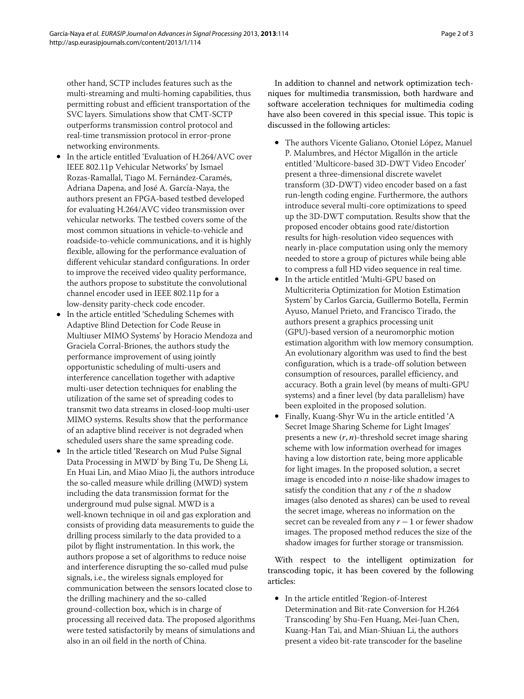other hand, SCTP includes features such as the multi-streaming and multi-homing capabilities, thus permitting robust and efficient transportation of the SVC layers. Simulations show that CMT-SCTP outperforms transmission control protocol and real-time transmission protocol in error-prone networking environments.

- In the article entitled 'Evaluation of H.264/AVC over IEEE 802.11p Vehicular Networks' by Ismael Rozas-Ramallal, Tiago M. Fernández-Caramés, Adriana Dapena, and José A. García-Naya, the authors present an FPGA-based testbed developed for evaluating H.264/AVC video transmission over vehicular networks. The testbed covers some of the most common situations in vehicle-to-vehicle and roadside-to-vehicle communications, and it is highly flexible, allowing for the performance evaluation of different vehicular standard configurations. In order to improve the received video quality performance, the authors propose to substitute the convolutional channel encoder used in IEEE 802.11p for a low-density parity-check code encoder.
- In the article entitled 'Scheduling Schemes with Adaptive Blind Detection for Code Reuse in Multiuser MIMO Systems' by Horacio Mendoza and Graciela Corral-Briones, the authors study the performance improvement of using jointly opportunistic scheduling of multi-users and interference cancellation together with adaptive multi-user detection techniques for enabling the utilization of the same set of spreading codes to transmit two data streams in closed-loop multi-user MIMO systems. Results show that the performance of an adaptive blind receiver is not degraded when scheduled users share the same spreading code.
- In the article titled 'Research on Mud Pulse Signal Data Processing in MWD' by Bing Tu, De Sheng Li, En Huai Lin, and Miao Miao Ji, the authors introduce the so-called measure while drilling (MWD) system including the data transmission format for the underground mud pulse signal. MWD is a well-known technique in oil and gas exploration and consists of providing data measurements to guide the drilling process similarly to the data provided to a pilot by flight instrumentation. In this work, the authors propose a set of algorithms to reduce noise and interference disrupting the so-called mud pulse signals, i.e., the wireless signals employed for communication between the sensors located close to the drilling machinery and the so-called ground-collection box, which is in charge of processing all received data. The proposed algorithms were tested satisfactorily by means of simulations and also in an oil field in the north of China.

In addition to channel and network optimization techniques for multimedia transmission, both hardware and software acceleration techniques for multimedia coding have also been covered in this special issue. This topic is discussed in the following articles:

- The authors Vicente Galiano, Otoniel López, Manuel P. Malumbres, and Héctor Migallón in the article entitled 'Multicore-based 3D-DWT Video Encoder' present a three-dimensional discrete wavelet transform (3D-DWT) video encoder based on a fast run-length coding engine. Furthermore, the authors introduce several multi-core optimizations to speed up the 3D-DWT computation. Results show that the proposed encoder obtains good rate/distortion results for high-resolution video sequences with nearly in-place computation using only the memory needed to store a group of pictures while being able to compress a full HD video sequence in real time.
- In the article entitled 'Multi-GPU based on Multicriteria Optimization for Motion Estimation System' by Carlos Garcia, Guillermo Botella, Fermin Ayuso, Manuel Prieto, and Francisco Tirado, the authors present a graphics processing unit (GPU)-based version of a neuromorphic motion estimation algorithm with low memory consumption. An evolutionary algorithm was used to find the best configuration, which is a trade-off solution between consumption of resources, parallel efficiency, and accuracy. Both a grain level (by means of multi-GPU systems) and a finer level (by data parallelism) have been exploited in the proposed solution.
- Finally, Kuang-Shyr Wu in the article entitled 'A Secret Image Sharing Scheme for Light Images' presents a new *(r*, *n)*-threshold secret image sharing scheme with low information overhead for images having a low distortion rate, being more applicable for light images. In the proposed solution, a secret image is encoded into <sup>n</sup> noise-like shadow images to satisfy the condition that any  $r$  of the  $n$  shadow images (also denoted as shares) can be used to reveal the secret image, whereas no information on the secret can be revealed from any *r* −1 or fewer shadow images. The proposed method reduces the size of the shadow images for further storage or transmission.

With respect to the intelligent optimization for transcoding topic, it has been covered by the following articles:

• In the article entitled 'Region-of-Interest Determination and Bit-rate Conversion for H.264 Transcoding' by Shu-Fen Huang, Mei-Juan Chen, Kuang-Han Tai, and Mian-Shiuan Li, the authors present a video bit-rate transcoder for the baseline